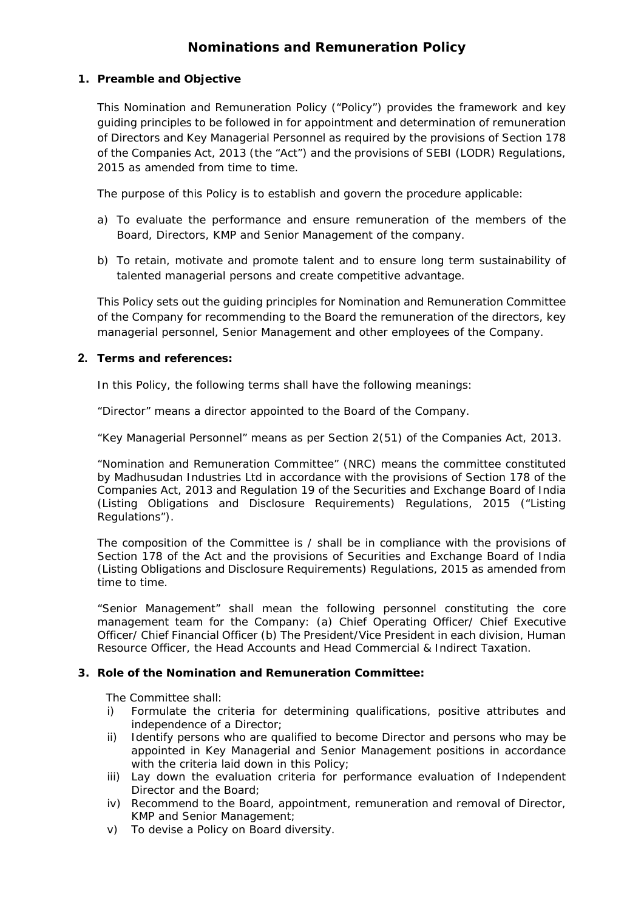# **Nominations and Remuneration Policy**

# **1. Preamble and Objective**

This Nomination and Remuneration Policy ("Policy") provides the framework and key guiding principles to be followed in for appointment and determination of remuneration of Directors and Key Managerial Personnel as required by the provisions of Section 178 of the Companies Act, 2013 (the "Act") and the provisions of SEBI (LODR) Regulations, 2015 as amended from time to time.

The purpose of this Policy is to establish and govern the procedure applicable:

- a) To evaluate the performance and ensure remuneration of the members of the Board, Directors, KMP and Senior Management of the company.
- b) To retain, motivate and promote talent and to ensure long term sustainability of talented managerial persons and create competitive advantage.

This Policy sets out the guiding principles for Nomination and Remuneration Committee of the Company for recommending to the Board the remuneration of the directors, key managerial personnel, Senior Management and other employees of the Company.

# **2. Terms and references:**

In this Policy, the following terms shall have the following meanings:

"Director" means a director appointed to the Board of the Company.

"Key Managerial Personnel" means as per Section 2(51) of the Companies Act, 2013.

"Nomination and Remuneration Committee" (NRC) means the committee constituted by Madhusudan Industries Ltd in accordance with the provisions of Section 178 of the Companies Act, 2013 and Regulation 19 of the Securities and Exchange Board of India (Listing Obligations and Disclosure Requirements) Regulations, 2015 ("Listing Regulations").

The composition of the Committee is / shall be in compliance with the provisions of Section 178 of the Act and the provisions of Securities and Exchange Board of India (Listing Obligations and Disclosure Requirements) Regulations, 2015 as amended from time to time.

"Senior Management" shall mean the following personnel constituting the core management team for the Company: (a) Chief Operating Officer/ Chief Executive Officer/ Chief Financial Officer (b) The President/Vice President in each division, Human Resource Officer, the Head Accounts and Head Commercial & Indirect Taxation.

## **3. Role of the Nomination and Remuneration Committee:**

The Committee shall:

- i) Formulate the criteria for determining qualifications, positive attributes and independence of a Director;
- ii) Identify persons who are qualified to become Director and persons who may be appointed in Key Managerial and Senior Management positions in accordance with the criteria laid down in this Policy;
- iii) Lay down the evaluation criteria for performance evaluation of Independent Director and the Board;
- iv) Recommend to the Board, appointment, remuneration and removal of Director, KMP and Senior Management;
- v) To devise a Policy on Board diversity.